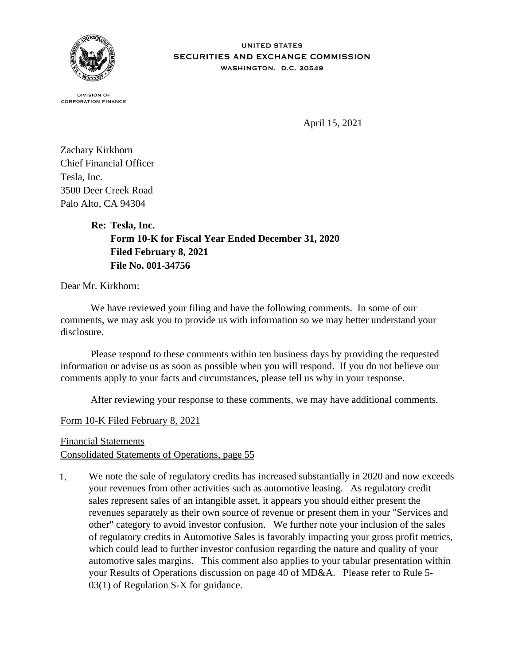

**DIVISION OF CORPORATION FINANCE** 

April 15, 2021

Zachary Kirkhorn Chief Financial Officer Tesla, Inc. 3500 Deer Creek Road Palo Alto, CA 94304

**Re: Tesla, Inc.**

**Form 10-K for Fiscal Year Ended December 31, 2020 Filed February 8, 2021 File No. 001-34756**

Dear Mr. Kirkhorn:

 We have reviewed your filing and have the following comments. In some of our comments, we may ask you to provide us with information so we may better understand your disclosure.

 Please respond to these comments within ten business days by providing the requested information or advise us as soon as possible when you will respond. If you do not believe our comments apply to your facts and circumstances, please tell us why in your response.

After reviewing your response to these comments, we may have additional comments.

Form 10-K Filed February 8, 2021

Financial Statements Consolidated Statements of Operations, page 55

1. We note the sale of regulatory credits has increased substantially in 2020 and now exceeds your revenues from other activities such as automotive leasing. As regulatory credit sales represent sales of an intangible asset, it appears you should either present the revenues separately as their own source of revenue or present them in your "Services and other" category to avoid investor confusion. We further note your inclusion of the sales of regulatory credits in Automotive Sales is favorably impacting your gross profit metrics, which could lead to further investor confusion regarding the nature and quality of your automotive sales margins. This comment also applies to your tabular presentation within your Results of Operations discussion on page 40 of MD&A. Please refer to Rule 5- 03(1) of Regulation S-X for guidance.